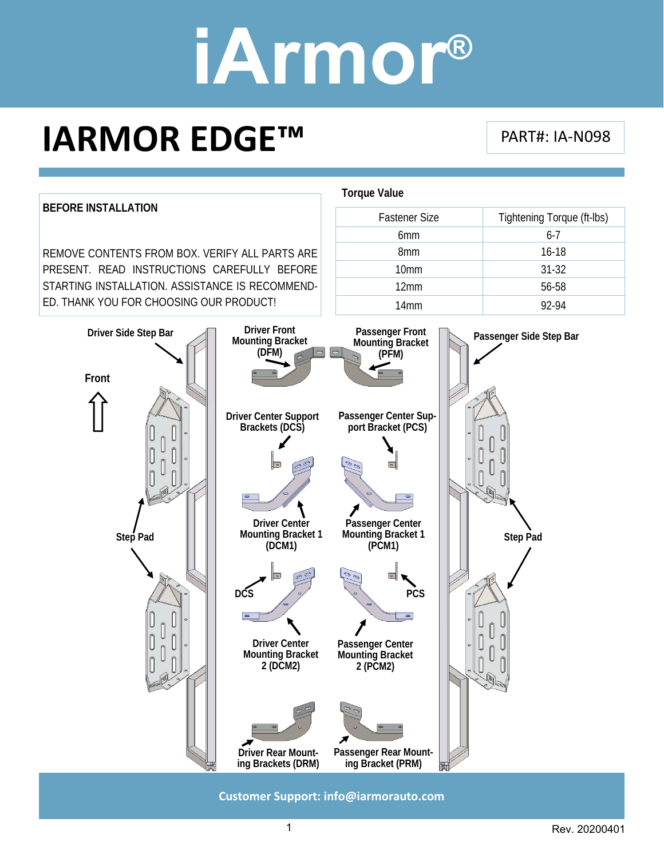### **IARMOR EDGE™**

PART#: IA‐N098



**Customer Support: info@iarmorauto.com** 

1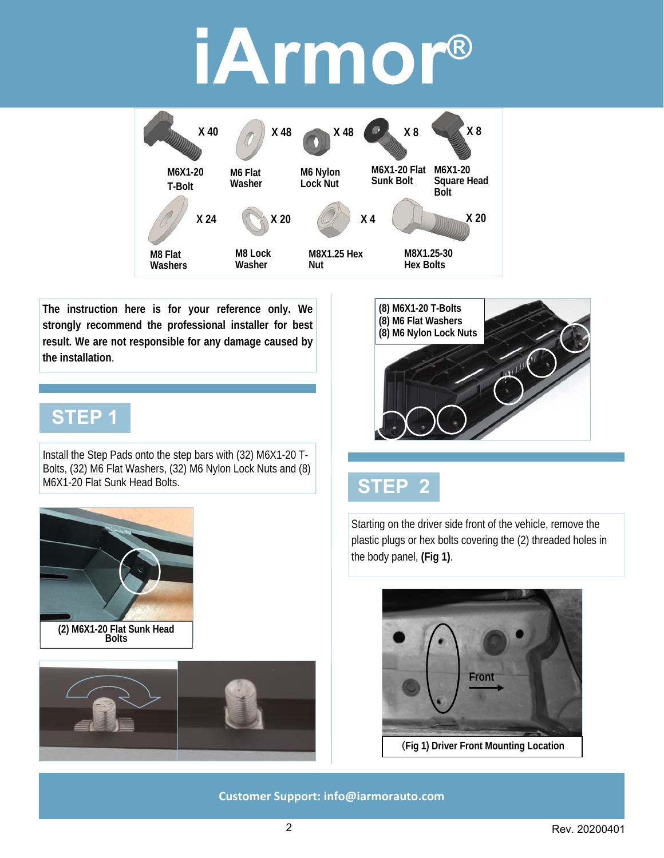

**The instruction here is for your reference only. We strongly recommend the professional installer for best result. We are not responsible for any damage caused by the installation**.

#### **STEP 1**

Install the Step Pads onto the step bars with (32) M6X1-20 T-Bolts, (32) M6 Flat Washers, (32) M6 Nylon Lock Nuts and (8) M6X1-20 Flat Sunk Head Bolts.







### **STEP 2**

Starting on the driver side front of the vehicle, remove the plastic plugs or hex bolts covering the (2) threaded holes in the body panel, **(Fig 1)**.

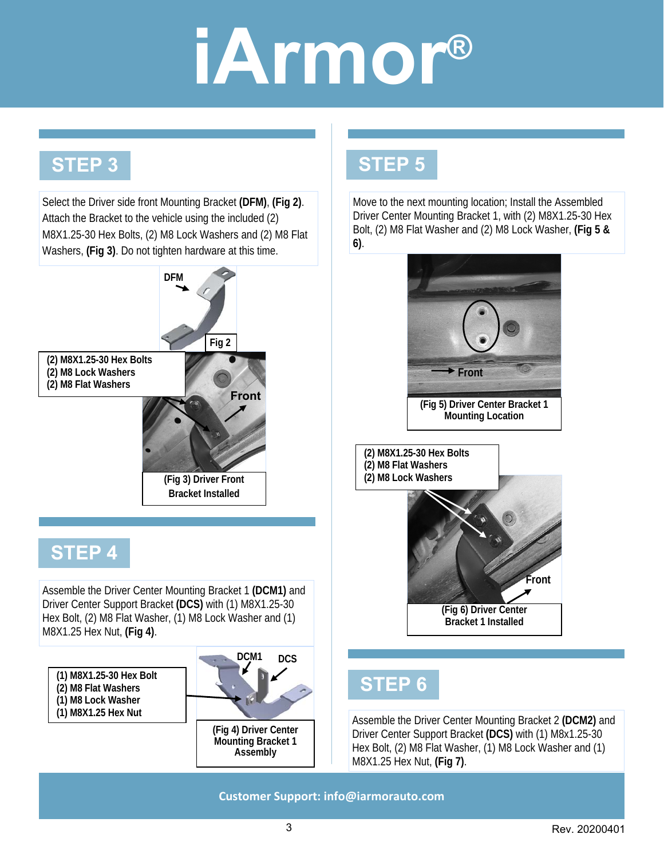### **STEP 3**

Select the Driver side front Mounting Bracket **(DFM)**, **(Fig 2)**. Attach the Bracket to the vehicle using the included (2) M8X1.25-30 Hex Bolts, (2) M8 Lock Washers and (2) M8 Flat Washers, **(Fig 3)**. Do not tighten hardware at this time.



Assemble the Driver Center Mounting Bracket 1 **(DCM1)** and Driver Center Support Bracket **(DCS)** with (1) M8X1.25-30 Hex Bolt, (2) M8 Flat Washer, (1) M8 Lock Washer and (1) M8X1.25 Hex Nut, **(Fig 4)**.

**(1) M8X1.25-30 Hex Bolt (2) M8 Flat Washers (1) M8 Lock Washer (1) M8X1.25 Hex Nut** 



**(Fig 4) Driver Center Mounting Bracket 1 Assembly** 

### **STEP 5**

Move to the next mounting location; Install the Assembled Driver Center Mounting Bracket 1, with (2) M8X1.25-30 Hex Bolt, (2) M8 Flat Washer and (2) M8 Lock Washer, **(Fig 5 & 6)**.



### **STEP 6**

Assemble the Driver Center Mounting Bracket 2 **(DCM2)** and Driver Center Support Bracket **(DCS)** with (1) M8x1.25-30 Hex Bolt, (2) M8 Flat Washer, (1) M8 Lock Washer and (1) M8X1.25 Hex Nut, **(Fig 7)**.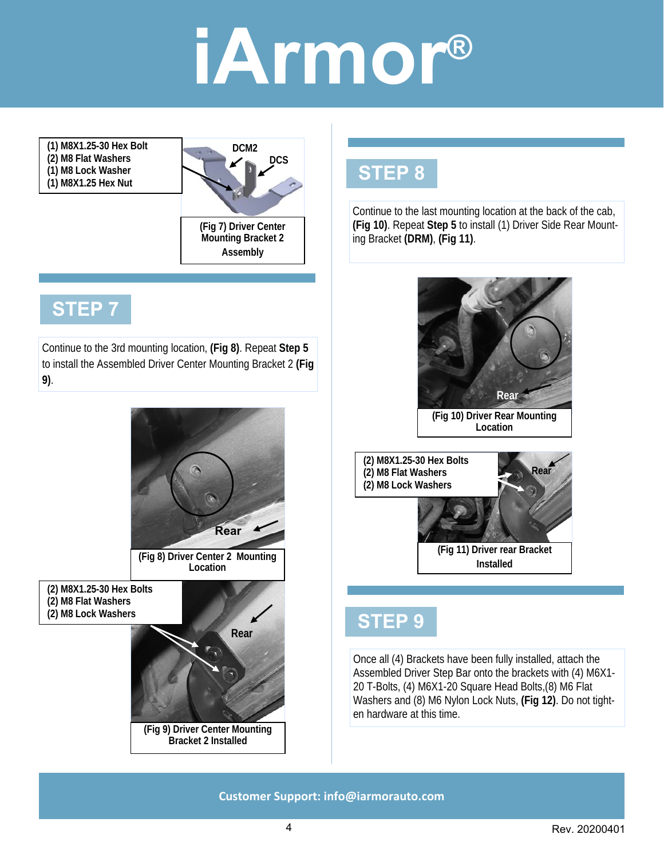**(1) M8X1.25-30 Hex Bolt (2) M8 Flat Washers (1) M8 Lock Washer (1) M8X1.25 Hex Nut** 



### **STEP 7**

Continue to the 3rd mounting location, **(Fig 8)**. Repeat **Step 5**  to install the Assembled Driver Center Mounting Bracket 2 **(Fig 9)**.



#### **STEP 8**

Continue to the last mounting location at the back of the cab, **(Fig 10)**. Repeat **Step 5** to install (1) Driver Side Rear Mounting Bracket **(DRM)**, **(Fig 11)**.



**(Fig 11) Driver rear Bracket Installed** 

#### **STEP 9**

Once all (4) Brackets have been fully installed, attach the Assembled Driver Step Bar onto the brackets with (4) M6X1- 20 T-Bolts, (4) M6X1-20 Square Head Bolts,(8) M6 Flat Washers and (8) M6 Nylon Lock Nuts, **(Fig 12)**. Do not tighten hardware at this time.